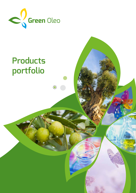

# **Products portfolio**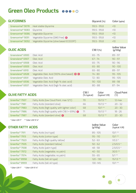# **Green Oleo Products**

| <b>GLYCERINES</b>             |                                                     | Glycerol (%)  | Color (apha)                    |
|-------------------------------|-----------------------------------------------------|---------------|---------------------------------|
| Greencerine <sup>®</sup> 9078 | Heat stable Glycerine                               | $99,5 - 99,8$ | <10                             |
| Greencerine <sup>®</sup> 9083 | Glycerine                                           | $99,5 - 99,8$ | <10                             |
| Greencerine <sup>®</sup> 9086 | Vegetable Glycerine                                 | $99,5 - 99,8$ | <10                             |
| Greencerine <sup>®</sup> 9091 | Vegetable Glycerine (GMO free) $\bigodot$           | $99,5 - 99,8$ | <10                             |
| Greencerine <sup>®</sup> 9092 | Vegetable Glycerine (olive based ECOCERT)           | $99,5 - 99,8$ | <10                             |
|                               |                                                     |               |                                 |
| <b>OLEIC ACIDS</b>            |                                                     | $C18:1$ (%)   | <b>Iodine Value</b><br>(g/100g) |
| Greenolene <sup>®</sup> 6900  | Oleic Acid                                          | $65 - 75$     | $89 - 97$                       |
| Greenolene® 6907              | Oleic Acid                                          | $67 - 74$     | $90 - 97$                       |
| Greenolene® 6908              | Oleic Acid                                          | $65 - 75$     | $90 - 96$                       |
| Greenolene® 6909              | Oleic Acid                                          | $65 - 80$     | $90 - 100$                      |
| Greenolene <sup>®</sup> 6910  | Oleic Acid                                          | $65 - 80$     | $89 - 97$                       |
| Greenolene <sup>®</sup> 6928  | Vegetable Oleic Acid (100% olive based) $\bigoplus$ | $74 - 80$     | $95 - 105$                      |
| Greenolene <sup>®</sup> 6931  | Vegetable Oleic Acid                                | $72 - 80$     | $95 - 105$                      |
| Greenolene <sup>®</sup> 6936  | Vegetable Oleic Acid (high % oleic acid)            | $90 - 100$    | 88 - 98                         |
| Greenolene <sup>®</sup> 6937  | Vegetable Oleic Acid (high % oleic acid)            | $80 - 88$     | $87 - 94$                       |

| <b>OLIVE FATTY ACIDS</b>                                                             |             | Color<br>(typical Y/R) | <b>Cloud Point</b><br>$(^{\circ}C)$ |
|--------------------------------------------------------------------------------------|-------------|------------------------|-------------------------------------|
| Fatty Acids (low Cloud Point, max 12°C)<br>Greenfac <sup>®</sup> 7937                | 70          | $15/1.5**$             | $12 \text{ max}$                    |
| Fatty Acids (standard olive)<br>Greenfac <sup>®</sup> 7981                           | 66          | $15/1.5**$             | $20 - 32$                           |
| Fatty Acids (high quality with lighter color)<br>Greenfac <sup>®</sup> 7983          | 68          | $10/1**$               | $20 - 30$                           |
| Fatty Acids (high quality with C18:1 > 69%) $\bigodot$<br>Greenfac <sup>®</sup> 7986 | 71          | $15/1.5**$             | $18 - 26$                           |
| Fatty Acids (standard olive) $\bigodot$<br>Greenfac <sup>®</sup> 7987                | 68          | $15/1.5**$             | $20 - 30$                           |
|                                                                                      | (% typical) |                        |                                     |

**\* Color LOV 1" \*\* Color LOV 5 ¼"**

| <b>OTHER FATTY ACIDS</b>   |                                   | <b>Iodine Value</b><br>(g/100g) | Color<br>(typical Y/R) |
|----------------------------|-----------------------------------|---------------------------------|------------------------|
| Greenfac <sup>®</sup> 7911 | Fatty Acids (nut type)            | $85 - 105$                      | $10/1**$               |
| Greenfac <sup>®</sup> 7913 | Fatty Acids (cotton type)         | $95 - 110$                      | $10/1**$               |
| Greenfac <sup>®</sup> 7923 | Fatty Acids (high quality tallow) | $52 - 63$                       | $1/0.3 *$              |
| Greenfac <sup>®</sup> 7935 | Fatty Acids (standard tallow)     | $50 - 62$                       | $2,5/0,5*$             |
| Greenfac <sup>®</sup> 7938 | Fatty Acids (palm type)           | $48 - 58$                       | $2,5/0,5*$             |
| Greenfac <sup>®</sup> 7972 | Fatty Acids (vegetable, no palm)  | $40 - 50$                       | $30/3$ **              |
| Greenfac <sup>®</sup> 7974 | Fatty Acids (vegetable, no palm)  | $55 - 65$                       | $5/1**$                |
| Greenfac <sup>®</sup> 8958 | Fatty Acids (tall oil type)       | $120 - 130$                     | $15/1.5$ **            |
| Greenfac <sup>®</sup> 8959 | Fatty Acids (tall oil type)       | 130-145                         | $10/1**$               |

**\* Color LOV 1" \* Color LOV 5 ¼"**

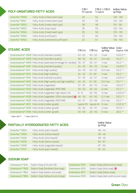|                            | <b>POLY-UNSATURED FATTY ACIDS</b>                                             | C18:1<br>(% typical) | % typical | $C18:2 + C18:3$                       | <b>Iodine Value</b><br>(g/100g) |
|----------------------------|-------------------------------------------------------------------------------|----------------------|-----------|---------------------------------------|---------------------------------|
| Greenfac <sup>®</sup> 8950 | Fatty Acids (mixed seed type)                                                 | 33                   | 52        |                                       | $128 - 138$                     |
| Greenfac <sup>®</sup> 8951 | Fatty Acids (mixed seed type)                                                 | 35                   | 50        |                                       | $123 - 130$                     |
| Greenfac <sup>®</sup> 8952 | Fatty Acids (mixed seed type)                                                 | 38                   | 48        |                                       | $115 - 130$                     |
| Greenfac <sup>®</sup> 8953 | Fatty Acids (soya type)                                                       | 35                   | 59        |                                       | $132 - 140$                     |
| Greenfac <sup>®</sup> 8954 | Fatty Acids (mixed seed type)                                                 | 35                   | 50        |                                       | $125 - 135$                     |
| Greenfac <sup>®</sup> 8960 | Fatty Acids (sunflower)                                                       | 27                   | 59        |                                       | $125 - 140$                     |
| Greenfac <sup>®</sup> 8962 | Fatty Acids (winterized sunflower)                                            | 32                   | 61        |                                       | $136 - 150$                     |
| <b>STEARIC ACIDS</b>       |                                                                               | $C16$ (%)            | C18(%)    | <b>Iodine Value Color</b><br>(g/100g) | (typical Y/R)                   |
|                            | Greenstearine <sup>®</sup> 4900 Fatty Acids (standard quality)                | $43 - 52$            | $40 - 52$ | 1 max                                 | $1,5/0,3$ **                    |
|                            | Greenstearine <sup>®</sup> 4906 Fatty Acids (standard quality)                | $48 - 52$            | $43 - 47$ | $0,5$ max                             | $1/D, 2 * *$                    |
|                            | Greenstearine <sup>®</sup> 4909 Fatty Acids (optimized shrinkage for candles) | $35 - 37$            | $55 - 57$ | 1 max                                 | $1/0,2$ **                      |
|                            |                                                                               |                      |           |                                       |                                 |

| Greenstearine® 4910             | Fatty Acids (standard quality)                                                       | $24 - 35$          | $60 - 70$  | $2$ max       | $2,5/0,5$ **      |
|---------------------------------|--------------------------------------------------------------------------------------|--------------------|------------|---------------|-------------------|
| Greenstearine® 4911             | Fatty Acids (high quality)                                                           | $42 - 49$          | $44 - 52$  | $0.5$ max     | $1/D, 2 \times 2$ |
| Greenstearine <sup>®</sup> 4913 | Fatty Acids (high stability)                                                         | $24 - 32$          | $61 - 69$  | 1 max         | $1/0,2$ **        |
| Greenstearine <sup>®</sup> 4916 | Fatty Acids (standard quality)                                                       | 37 - 49            | $42 - 57$  | $2$ max       | $2,5/0,5$ **      |
|                                 | Greenstearine <sup>®</sup> 4919  Fatty Acids (high quality and high stability)       | $24 - 32$          | $61 - 69$  | $0.5$ max     | $1/0,1***$        |
|                                 | Greenstearine <sup>®</sup> 4922 Fatty Acids (vegetable)                              | $27 - 35$          | $60 - 70$  | $2$ max       | $1,5/0,3$ **      |
|                                 | Greenstearine <sup>®</sup> 4923 Fatty Acids (vegetable, RSPO MB)                     | $40 - 52$          | $45 - 54$  | $2$ max       | $1/0.2**$         |
|                                 | Greenstearine® 4926 Fatty Acids (vegetable, high stearic %)                          | $\bigcap -\bigcap$ | $92 - 95$  | $\exists$ max | $2,5/0,5$ **      |
|                                 | Greenstearine <sup>®</sup> 4928 Fatty Acids (vegetable, 100% olive based) $\bigodot$ | $46 - 56$          | $40 - 50$  | $0,7$ max     | $2/0,2**$         |
|                                 | Greenstearine® 4929 Fatty Acids (vegetable, RSPO MB)                                 | $47 - 47$          | $53 - 58$  | $0.5$ max     | $1/0,2$ **        |
|                                 | Greenstearine <sup>®</sup> 4931 Fatty Acids (rubber grade)                           | typical 35         | typical 45 | 5 max         | $2,5/0,5$ **      |
|                                 | Greenstearine <sup>®</sup> 4935 Fatty Acids (rubber grade)                           | $75 - 57$          | $43 - 70$  | 2 max         | $15/1.5$ **       |
|                                 | Greenstearine <sup>®</sup> 4936 Fatty Acids (rubber grade)                           | $40 - 65$          | $20 - 40$  | 5 max         | $20/2**$          |

**\* Color LOV 1" \*\* Color LOV 5 ¼"**

|                            | <b>PARTIALLY HYDROGENATED FATTY ACIDS</b> | <b>Iodine Value</b><br>(g/100g) |
|----------------------------|-------------------------------------------|---------------------------------|
| Greenfac <sup>®</sup> 5904 | Fatty Acids (palm based)                  | $38 - 43$                       |
| Greenfac <sup>®</sup> 5905 | Fatty Acids (tallow based)                | $38 - 46$                       |
| Greenfac <sup>®</sup> 5928 | Fatty Acids (olive based)                 | $38 - 46$                       |
| Greenfac <sup>®</sup> 9593 | Fatty Acids (tallow based)                | $83 - 87$                       |
| Greenfac <sup>®</sup> 9598 | Fatty Acids (vegetable based)             | $87 - 95$                       |
| Greenfac <sup>®</sup> 9707 | Fatty Acids (palm based)                  | $18 - 23$                       |

#### **SODIUM SOAP**

| Greensavon® 1634 | Sodium Soap (C16 and C18)                                         | Greensavon 1875 | Sodium Soap (olive/coconut soap)      |
|------------------|-------------------------------------------------------------------|-----------------|---------------------------------------|
| Greensavon® 1828 | Sodium Soap (hardened olive soap)                                 | Greensavon 1876 | Sodium Soap (olive soap) <b>O</b>     |
|                  | Greensavon <sup>®</sup> 1864    Sodium Soap (stearic acid soap)   | Greensavon 1877 | Sodium Soap (tallow soap)             |
|                  | Greensavon <sup>®</sup> 1866    Sodium Soap (tallow/coconut soap) | Greensavon 1878 | Sodium Soap (oleic acid/coconut soap) |

### **Green Oleo**